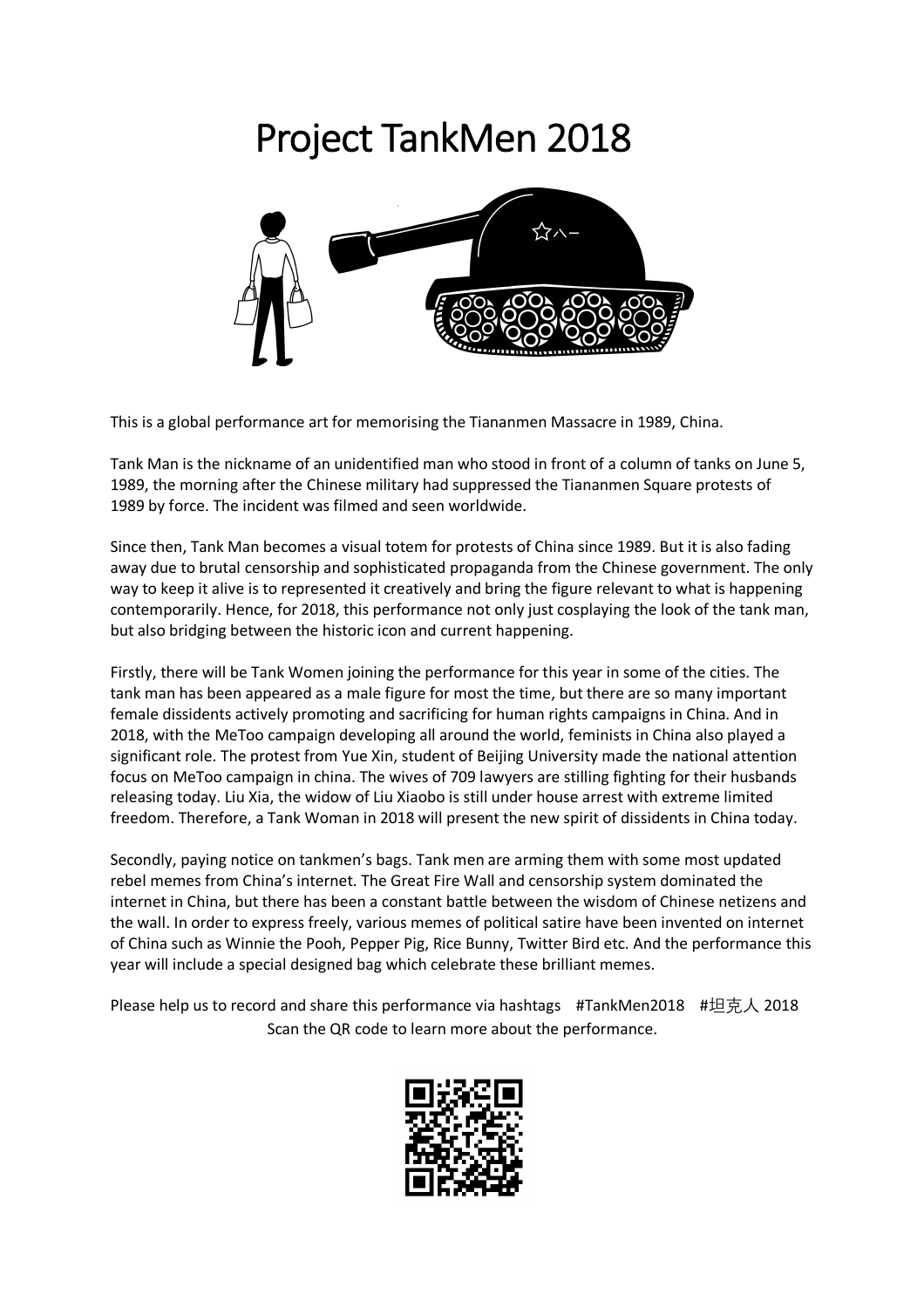## Project TankMen 2018



This is a global performance art for memorising the Tiananmen Massacre in 1989, China.

Tank Man is the nickname of an unidentified man who stood in front of a column of tanks on June 5, 1989, the morning after the Chinese military had suppressed the Tiananmen Square protests of 1989 by force. The incident was filmed and seen worldwide.

Since then, Tank Man becomes a visual totem for protests of China since 1989. But it is also fading away due to brutal censorship and sophisticated propaganda from the Chinese government. The only way to keep it alive is to represented it creatively and bring the figure relevant to what is happening contemporarily. Hence, for 2018, this performance not only just cosplaying the look of the tank man, but also bridging between the historic icon and current happening.

Firstly, there will be Tank Women joining the performance for this year in some of the cities. The tank man has been appeared as a male figure for most the time, but there are so many important female dissidents actively promoting and sacrificing for human rights campaigns in China. And in 2018, with the MeToo campaign developing all around the world, feminists in China also played a significant role. The protest from Yue Xin, student of Beijing University made the national attention focus on MeToo campaign in china. The wives of 709 lawyers are stilling fighting for their husbands releasing today. Liu Xia, the widow of Liu Xiaobo is still under house arrest with extreme limited freedom. Therefore, a Tank Woman in 2018 will present the new spirit of dissidents in China today.

Secondly, paying notice on tankmen's bags. Tank men are arming them with some most updated rebel memes from China's internet. The Great Fire Wall and censorship system dominated the internet in China, but there has been a constant battle between the wisdom of Chinese netizens and the wall. In order to express freely, various memes of political satire have been invented on internet of China such as Winnie the Pooh, Pepper Pig, Rice Bunny, Twitter Bird etc. And the performance this year will include a special designed bag which celebrate these brilliant memes.

Please help us to record and share this performance via hashtags #TankMen2018 #坦克人 2018 Scan the QR code to learn more about the performance.